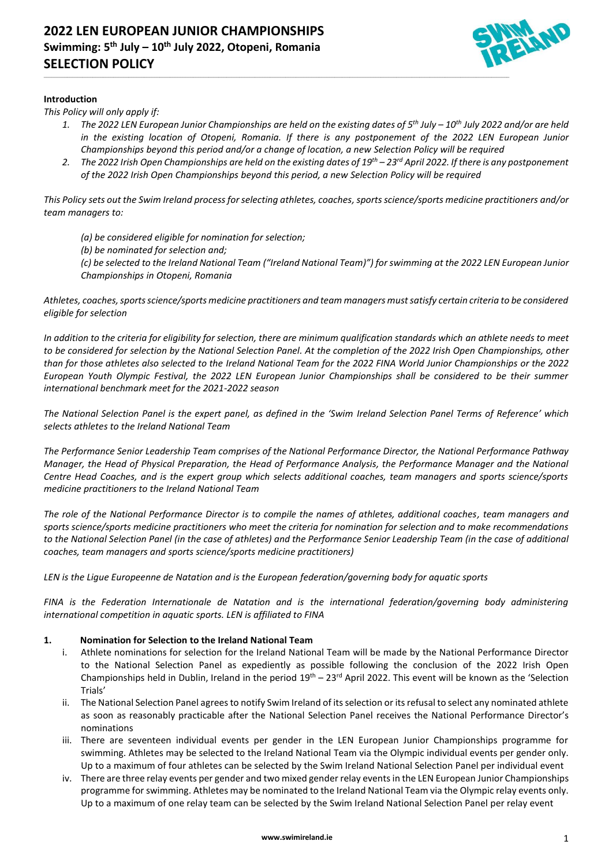

# **Introduction**

*This Policy will only apply if:*

*1. The 2022 LEN European Junior Championships are held on the existing dates of 5 th July – 10 th July 2022 and/or are held in the existing location of Otopeni, Romania. If there is any postponement of the 2022 LEN European Junior Championships beyond this period and/or a change of location, a new Selection Policy will be required*

\_\_\_\_\_\_\_\_\_\_\_\_\_\_\_\_\_\_\_\_\_\_\_\_\_\_\_\_\_\_\_\_\_\_\_\_\_\_\_\_\_\_\_\_\_\_\_\_\_\_\_\_\_\_\_\_\_\_\_\_\_\_\_\_\_\_\_\_\_\_\_\_\_\_\_\_\_\_\_\_\_\_\_\_\_\_\_\_\_\_\_\_\_\_\_\_\_\_\_\_\_\_\_\_\_\_\_\_\_\_\_\_\_\_\_\_\_\_\_\_\_\_\_\_\_\_\_\_\_\_\_\_\_\_\_\_\_\_\_\_\_\_\_\_\_\_\_\_\_\_\_\_\_\_\_\_\_\_\_\_\_\_\_\_\_\_\_\_\_\_\_\_\_\_\_\_\_\_\_\_\_

*2. The 2022 Irish Open Championships are held on the existing dates of 19th – 23 rd April 2022. If there is any postponement of the 2022 Irish Open Championships beyond this period, a new Selection Policy will be required*

*This Policy sets out the Swim Ireland process for selecting athletes, coaches, sports science/sports medicine practitioners and/or team managers to:*

- *(a) be considered eligible for nomination for selection;*
- *(b) be nominated for selection and;*

*(c) be selected to the Ireland National Team ("Ireland National Team)") for swimming at the 2022 LEN European Junior Championships in Otopeni, Romania*

*Athletes, coaches, sports science/sports medicine practitioners and team managers must satisfy certain criteria to be considered eligible for selection*

*In addition to the criteria for eligibility for selection, there are minimum qualification standards which an athlete needs to meet to be considered for selection by the National Selection Panel. At the completion of the 2022 Irish Open Championships, other than for those athletes also selected to the Ireland National Team for the 2022 FINA World Junior Championships or the 2022 European Youth Olympic Festival, the 2022 LEN European Junior Championships shall be considered to be their summer international benchmark meet for the 2021-2022 season*

*The National Selection Panel is the expert panel, as defined in the 'Swim Ireland Selection Panel Terms of Reference' which selects athletes to the Ireland National Team*

*The Performance Senior Leadership Team comprises of the National Performance Director, the National Performance Pathway Manager, the Head of Physical Preparation, the Head of Performance Analysis, the Performance Manager and the National Centre Head Coaches, and is the expert group which selects additional coaches, team managers and sports science/sports medicine practitioners to the Ireland National Team*

*The role of the National Performance Director is to compile the names of athletes, additional coaches, team managers and sports science/sports medicine practitioners who meet the criteria for nomination for selection and to make recommendations to the National Selection Panel (in the case of athletes) and the Performance Senior Leadership Team (in the case of additional coaches, team managers and sports science/sports medicine practitioners)*

*LEN is the Ligue Europeenne de Natation and is the European federation/governing body for aquatic sports*

*FINA is the Federation Internationale de Natation and is the international federation/governing body administering international competition in aquatic sports. LEN is affiliated to FINA*

#### **1. Nomination for Selection to the Ireland National Team**

- i. Athlete nominations for selection for the Ireland National Team will be made by the National Performance Director to the National Selection Panel as expediently as possible following the conclusion of the 2022 Irish Open Championships held in Dublin, Ireland in the period  $19<sup>th</sup> - 23<sup>rd</sup>$  April 2022. This event will be known as the 'Selection Trials'
- ii. The National Selection Panel agrees to notify Swim Ireland of its selection or its refusal to select any nominated athlete as soon as reasonably practicable after the National Selection Panel receives the National Performance Director's nominations
- iii. There are seventeen individual events per gender in the LEN European Junior Championships programme for swimming. Athletes may be selected to the Ireland National Team via the Olympic individual events per gender only. Up to a maximum of four athletes can be selected by the Swim Ireland National Selection Panel per individual event
- iv. There are three relay events per gender and two mixed gender relay eventsin the LEN European Junior Championships programme for swimming. Athletes may be nominated to the Ireland National Team via the Olympic relay events only. Up to a maximum of one relay team can be selected by the Swim Ireland National Selection Panel per relay event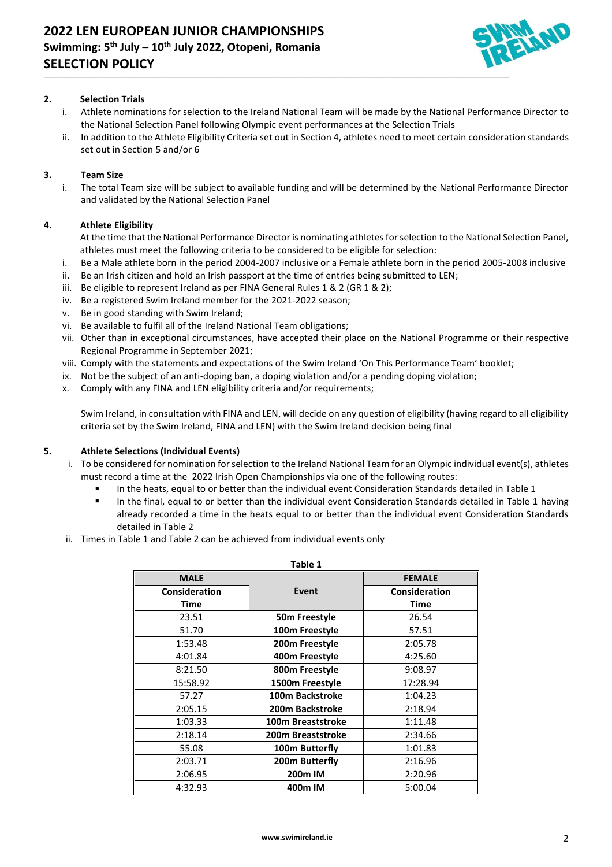

# **2. Selection Trials**

i. Athlete nominations for selection to the Ireland National Team will be made by the National Performance Director to the National Selection Panel following Olympic event performances at the Selection Trials

\_\_\_\_\_\_\_\_\_\_\_\_\_\_\_\_\_\_\_\_\_\_\_\_\_\_\_\_\_\_\_\_\_\_\_\_\_\_\_\_\_\_\_\_\_\_\_\_\_\_\_\_\_\_\_\_\_\_\_\_\_\_\_\_\_\_\_\_\_\_\_\_\_\_\_\_\_\_\_\_\_\_\_\_\_\_\_\_\_\_\_\_\_\_\_\_\_\_\_\_\_\_\_\_\_\_\_\_\_\_\_\_\_\_\_\_\_\_\_\_\_\_\_\_\_\_\_\_\_\_\_\_\_\_\_\_\_\_\_\_\_\_\_\_\_\_\_\_\_\_\_\_\_\_\_\_\_\_\_\_\_\_\_\_\_\_\_\_\_\_\_\_\_\_\_\_\_\_\_\_\_

ii. In addition to the Athlete Eligibility Criteria set out in Section 4, athletes need to meet certain consideration standards set out in Section 5 and/or 6

#### **3. Team Size**

i. The total Team size will be subject to available funding and will be determined by the National Performance Director and validated by the National Selection Panel

# **4. Athlete Eligibility**

At the time that the National Performance Director is nominating athletes for selection to the National Selection Panel, athletes must meet the following criteria to be considered to be eligible for selection:

- i. Be a Male athlete born in the period 2004-2007 inclusive or a Female athlete born in the period 2005-2008 inclusive
- ii. Be an Irish citizen and hold an Irish passport at the time of entries being submitted to LEN;
- iii. Be eligible to represent Ireland as per FINA General Rules 1 & 2 (GR 1 & 2);
- iv. Be a registered Swim Ireland member for the 2021-2022 season;
- v. Be in good standing with Swim Ireland;
- vi. Be available to fulfil all of the Ireland National Team obligations;
- vii. Other than in exceptional circumstances, have accepted their place on the National Programme or their respective Regional Programme in September 2021;
- viii. Comply with the statements and expectations of the Swim Ireland 'On This Performance Team' booklet;
- ix. Not be the subject of an anti-doping ban, a doping violation and/or a pending doping violation;
- x. Comply with any FINA and LEN eligibility criteria and/or requirements;

Swim Ireland, in consultation with FINA and LEN, will decide on any question of eligibility (having regard to all eligibility criteria set by the Swim Ireland, FINA and LEN) with the Swim Ireland decision being final

#### **5. Athlete Selections (Individual Events)**

- i. To be considered for nomination for selection to the Ireland National Team for an Olympic individual event(s), athletes must record a time at the 2022 Irish Open Championships via one of the following routes:
	- In the heats, equal to or better than the individual event Consideration Standards detailed in Table 1
	- In the final, equal to or better than the individual event Consideration Standards detailed in Table 1 having already recorded a time in the heats equal to or better than the individual event Consideration Standards detailed in Table 2
- ii. Times in Table 1 and Table 2 can be achieved from individual events only

| Table 1       |                        |               |  |  |
|---------------|------------------------|---------------|--|--|
| <b>MALE</b>   |                        | <b>FEMALE</b> |  |  |
| Consideration | Event                  | Consideration |  |  |
| Time          |                        | <b>Time</b>   |  |  |
| 23.51         | 50m Freestyle          | 26.54         |  |  |
| 51.70         | 100m Freestyle         | 57.51         |  |  |
| 1:53.48       | 200m Freestyle         | 2:05.78       |  |  |
| 4:01.84       | 400m Freestyle         | 4:25.60       |  |  |
| 8:21.50       | 800m Freestyle         | 9:08.97       |  |  |
| 15:58.92      | 1500m Freestyle        | 17:28.94      |  |  |
| 57.27         | 100m Backstroke        | 1:04.23       |  |  |
| 2:05.15       | <b>200m Backstroke</b> | 2:18.94       |  |  |
| 1:03.33       | 100m Breaststroke      | 1:11.48       |  |  |
| 2:18.14       | 200m Breaststroke      | 2:34.66       |  |  |
| 55.08         | 100m Butterfly         | 1:01.83       |  |  |
| 2:03.71       | 200m Butterfly         | 2:16.96       |  |  |
| 2:06.95       | 200m IM                | 2:20.96       |  |  |
| 4:32.93       | 400m IM                | 5:00.04       |  |  |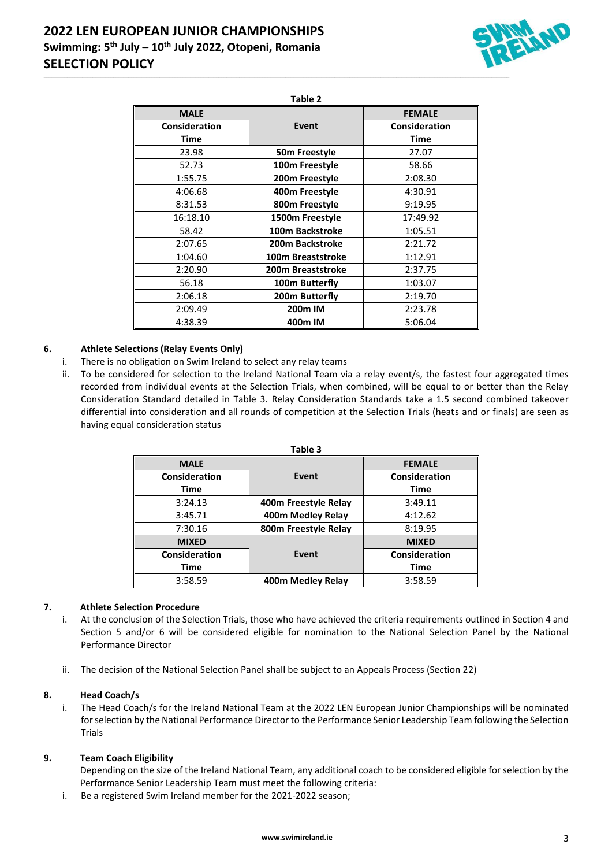

| Table 2              |                        |                      |  |
|----------------------|------------------------|----------------------|--|
| <b>MALE</b>          |                        | <b>FEMALE</b>        |  |
| <b>Consideration</b> | Event                  | <b>Consideration</b> |  |
| Time                 |                        | <b>Time</b>          |  |
| 23.98                | 50m Freestyle          | 27.07                |  |
| 52.73                | 100m Freestyle         | 58.66                |  |
| 1:55.75              | 200m Freestyle         | 2:08.30              |  |
| 4:06.68              | 400m Freestyle         | 4:30.91              |  |
| 8:31.53              | 800m Freestyle         | 9:19.95              |  |
| 16:18.10             | 1500m Freestyle        | 17:49.92             |  |
| 58.42                | 100m Backstroke        | 1:05.51              |  |
| 2:07.65              | <b>200m Backstroke</b> | 2:21.72              |  |
| 1:04.60              | 100m Breaststroke      | 1:12.91              |  |
| 2:20.90              | 200m Breaststroke      | 2:37.75              |  |
| 56.18                | 100m Butterfly         | 1:03.07              |  |
| 2:06.18              | 200m Butterfly         | 2:19.70              |  |
| 2:09.49              | 200m IM                | 2:23.78              |  |
| 4:38.39              | 400m IM                | 5:06.04              |  |

\_\_\_\_\_\_\_\_\_\_\_\_\_\_\_\_\_\_\_\_\_\_\_\_\_\_\_\_\_\_\_\_\_\_\_\_\_\_\_\_\_\_\_\_\_\_\_\_\_\_\_\_\_\_\_\_\_\_\_\_\_\_\_\_\_\_\_\_\_\_\_\_\_\_\_\_\_\_\_\_\_\_\_\_\_\_\_\_\_\_\_\_\_\_\_\_\_\_\_\_\_\_\_\_\_\_\_\_\_\_\_\_\_\_\_\_\_\_\_\_\_\_\_\_\_\_\_\_\_\_\_\_\_\_\_\_\_\_\_\_\_\_\_\_\_\_\_\_\_\_\_\_\_\_\_\_\_\_\_\_\_\_\_\_\_\_\_\_\_\_\_\_\_\_\_\_\_\_\_\_\_

# **6. Athlete Selections (Relay Events Only)**

- i. There is no obligation on Swim Ireland to select any relay teams
- ii. To be considered for selection to the Ireland National Team via a relay event/s, the fastest four aggregated times recorded from individual events at the Selection Trials, when combined, will be equal to or better than the Relay Consideration Standard detailed in Table 3. Relay Consideration Standards take a 1.5 second combined takeover differential into consideration and all rounds of competition at the Selection Trials (heats and or finals) are seen as having equal consideration status

| Table 3       |                      |               |  |
|---------------|----------------------|---------------|--|
| <b>MALE</b>   |                      | <b>FEMALE</b> |  |
| Consideration | Event                | Consideration |  |
| Time          |                      | <b>Time</b>   |  |
| 3:24.13       | 400m Freestyle Relay | 3:49.11       |  |
| 3:45.71       | 400m Medley Relay    | 4:12.62       |  |
| 7:30.16       | 800m Freestyle Relay | 8:19.95       |  |
| <b>MIXED</b>  |                      | <b>MIXED</b>  |  |
| Consideration | Event                | Consideration |  |
| Time          |                      | Time          |  |
| 3:58.59       | 400m Medley Relay    | 3:58.59       |  |

# **7. Athlete Selection Procedure**

- i. At the conclusion of the Selection Trials, those who have achieved the criteria requirements outlined in Section 4 and Section 5 and/or 6 will be considered eligible for nomination to the National Selection Panel by the National Performance Director
- ii. The decision of the National Selection Panel shall be subject to an Appeals Process (Section 22)

#### **8. Head Coach/s**

i. The Head Coach/s for the Ireland National Team at the 2022 LEN European Junior Championships will be nominated for selection by the National Performance Director to the Performance Senior Leadership Team following the Selection Trials

#### **9. Team Coach Eligibility**

Depending on the size of the Ireland National Team, any additional coach to be considered eligible for selection by the Performance Senior Leadership Team must meet the following criteria:

i. Be a registered Swim Ireland member for the 2021-2022 season;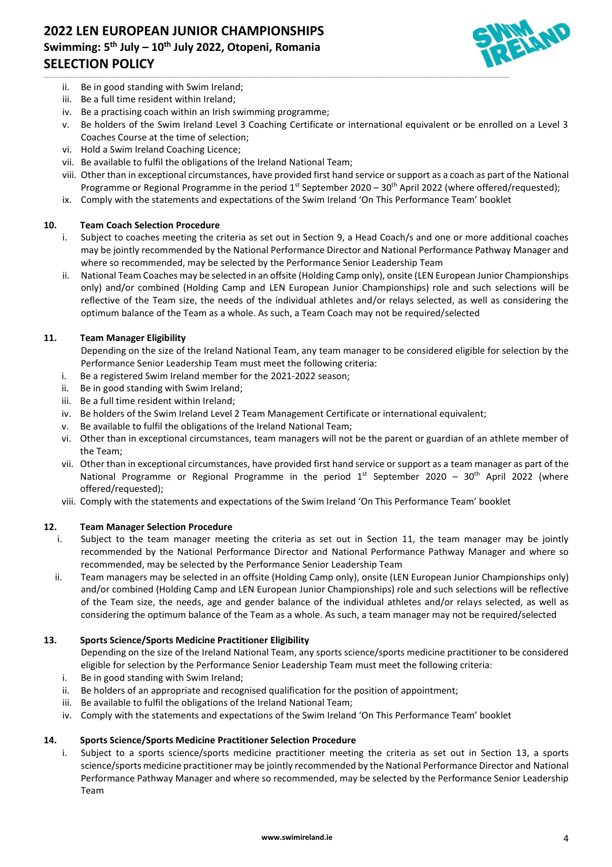

- ii. Be in good standing with Swim Ireland;
- iii. Be a full time resident within Ireland;
- iv. Be a practising coach within an Irish swimming programme;
- v. Be holders of the Swim Ireland Level 3 Coaching Certificate or international equivalent or be enrolled on a Level 3 Coaches Course at the time of selection;
- vi. Hold a Swim Ireland Coaching Licence;
- vii. Be available to fulfil the obligations of the Ireland National Team;
- viii. Other than in exceptional circumstances, have provided first hand service or support as a coach as part of the National Programme or Regional Programme in the period  $1^{st}$  September 2020 – 30<sup>th</sup> April 2022 (where offered/requested);
- ix. Comply with the statements and expectations of the Swim Ireland 'On This Performance Team' booklet

\_\_\_\_\_\_\_\_\_\_\_\_\_\_\_\_\_\_\_\_\_\_\_\_\_\_\_\_\_\_\_\_\_\_\_\_\_\_\_\_\_\_\_\_\_\_\_\_\_\_\_\_\_\_\_\_\_\_\_\_\_\_\_\_\_\_\_\_\_\_\_\_\_\_\_\_\_\_\_\_\_\_\_\_\_\_\_\_\_\_\_\_\_\_\_\_\_\_\_\_\_\_\_\_\_\_\_\_\_\_\_\_\_\_\_\_\_\_\_\_\_\_\_\_\_\_\_\_\_\_\_\_\_\_\_\_\_\_\_\_\_\_\_\_\_\_\_\_\_\_\_\_\_\_\_\_\_\_\_\_\_\_\_\_\_\_\_\_\_\_\_\_\_\_\_\_\_\_\_\_\_

# **10. Team Coach Selection Procedure**

- i. Subject to coaches meeting the criteria as set out in Section 9, a Head Coach/s and one or more additional coaches may be jointly recommended by the National Performance Director and National Performance Pathway Manager and where so recommended, may be selected by the Performance Senior Leadership Team
- ii. National Team Coaches may be selected in an offsite (Holding Camp only), onsite (LEN European Junior Championships only) and/or combined (Holding Camp and LEN European Junior Championships) role and such selections will be reflective of the Team size, the needs of the individual athletes and/or relays selected, as well as considering the optimum balance of the Team as a whole. As such, a Team Coach may not be required/selected

# **11. Team Manager Eligibility**

Depending on the size of the Ireland National Team, any team manager to be considered eligible for selection by the Performance Senior Leadership Team must meet the following criteria:

- i. Be a registered Swim Ireland member for the 2021-2022 season;
- ii. Be in good standing with Swim Ireland;
- iii. Be a full time resident within Ireland;
- iv. Be holders of the Swim Ireland Level 2 Team Management Certificate or international equivalent;
- v. Be available to fulfil the obligations of the Ireland National Team;
- vi. Other than in exceptional circumstances, team managers will not be the parent or guardian of an athlete member of the Team;
- vii. Other than in exceptional circumstances, have provided first hand service or support as a team manager as part of the National Programme or Regional Programme in the period  $1^{st}$  September 2020 – 30<sup>th</sup> April 2022 (where offered/requested);
- viii. Comply with the statements and expectations of the Swim Ireland 'On This Performance Team' booklet

# **12. Team Manager Selection Procedure**

- i. Subject to the team manager meeting the criteria as set out in Section 11, the team manager may be jointly recommended by the National Performance Director and National Performance Pathway Manager and where so recommended, may be selected by the Performance Senior Leadership Team
- ii. Team managers may be selected in an offsite (Holding Camp only), onsite (LEN European Junior Championships only) and/or combined (Holding Camp and LEN European Junior Championships) role and such selections will be reflective of the Team size, the needs, age and gender balance of the individual athletes and/or relays selected, as well as considering the optimum balance of the Team as a whole. As such, a team manager may not be required/selected

# **13. Sports Science/Sports Medicine Practitioner Eligibility**

Depending on the size of the Ireland National Team, any sports science/sports medicine practitioner to be considered eligible for selection by the Performance Senior Leadership Team must meet the following criteria:

- i. Be in good standing with Swim Ireland;
- ii. Be holders of an appropriate and recognised qualification for the position of appointment;
- iii. Be available to fulfil the obligations of the Ireland National Team;
- iv. Comply with the statements and expectations of the Swim Ireland 'On This Performance Team' booklet

# **14. Sports Science/Sports Medicine Practitioner Selection Procedure**

i. Subject to a sports science/sports medicine practitioner meeting the criteria as set out in Section 13, a sports science/sports medicine practitioner may be jointly recommended by the National Performance Director and National Performance Pathway Manager and where so recommended, may be selected by the Performance Senior Leadership Team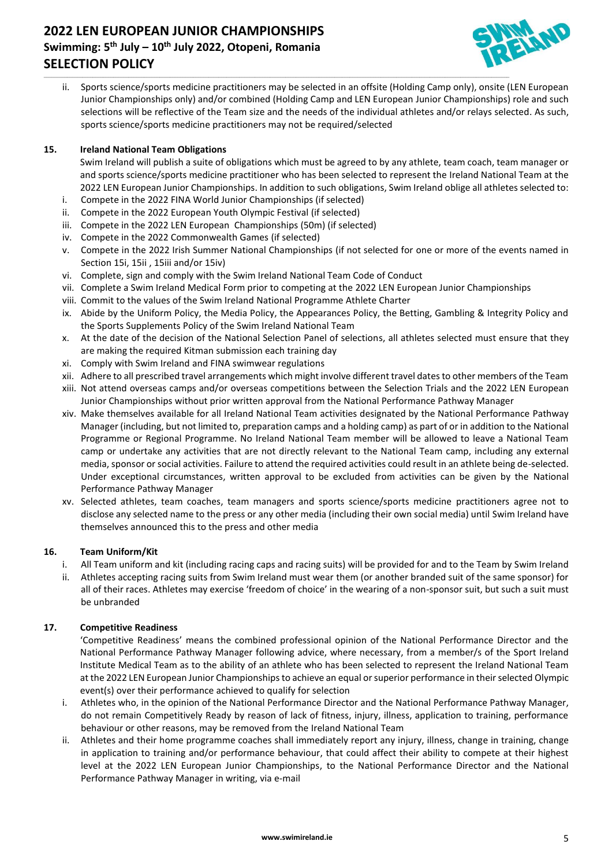# **2022 LEN EUROPEAN JUNIOR CHAMPIONSHIPS Swimming: 5 th July – 10 th July 2022, Otopeni, Romania SELECTION POLICY**



ii. Sports science/sports medicine practitioners may be selected in an offsite (Holding Camp only), onsite (LEN European Junior Championships only) and/or combined (Holding Camp and LEN European Junior Championships) role and such selections will be reflective of the Team size and the needs of the individual athletes and/or relays selected. As such, sports science/sports medicine practitioners may not be required/selected

\_\_\_\_\_\_\_\_\_\_\_\_\_\_\_\_\_\_\_\_\_\_\_\_\_\_\_\_\_\_\_\_\_\_\_\_\_\_\_\_\_\_\_\_\_\_\_\_\_\_\_\_\_\_\_\_\_\_\_\_\_\_\_\_\_\_\_\_\_\_\_\_\_\_\_\_\_\_\_\_\_\_\_\_\_\_\_\_\_\_\_\_\_\_\_\_\_\_\_\_\_\_\_\_\_\_\_\_\_\_\_\_\_\_\_\_\_\_\_\_\_\_\_\_\_\_\_\_\_\_\_\_\_\_\_\_\_\_\_\_\_\_\_\_\_\_\_\_\_\_\_\_\_\_\_\_\_\_\_\_\_\_\_\_\_\_\_\_\_\_\_\_\_\_\_\_\_\_\_\_\_

# **15. Ireland National Team Obligations**

- Swim Ireland will publish a suite of obligations which must be agreed to by any athlete, team coach, team manager or and sports science/sports medicine practitioner who has been selected to represent the Ireland National Team at the 2022 LEN European Junior Championships. In addition to such obligations, Swim Ireland oblige all athletes selected to:
- i. Compete in the 2022 FINA World Junior Championships (if selected)
- ii. Compete in the 2022 European Youth Olympic Festival (if selected)
- iii. Compete in the 2022 LEN European Championships (50m) (if selected)
- iv. Compete in the 2022 Commonwealth Games (if selected)
- v. Compete in the 2022 Irish Summer National Championships (if not selected for one or more of the events named in Section 15i, 15ii , 15iii and/or 15iv)
- vi. Complete, sign and comply with the Swim Ireland National Team Code of Conduct
- vii. Complete a Swim Ireland Medical Form prior to competing at the 2022 LEN European Junior Championships
- viii. Commit to the values of the Swim Ireland National Programme Athlete Charter
- ix. Abide by the Uniform Policy, the Media Policy, the Appearances Policy, the Betting, Gambling & Integrity Policy and the Sports Supplements Policy of the Swim Ireland National Team
- x. At the date of the decision of the National Selection Panel of selections, all athletes selected must ensure that they are making the required Kitman submission each training day
- xi. Comply with Swim Ireland and FINA swimwear regulations
- xii. Adhere to all prescribed travel arrangements which might involve different travel dates to other members of the Team
- xiii. Not attend overseas camps and/or overseas competitions between the Selection Trials and the 2022 LEN European Junior Championships without prior written approval from the National Performance Pathway Manager
- xiv. Make themselves available for all Ireland National Team activities designated by the National Performance Pathway Manager (including, but not limited to, preparation camps and a holding camp) as part of or in addition to the National Programme or Regional Programme. No Ireland National Team member will be allowed to leave a National Team camp or undertake any activities that are not directly relevant to the National Team camp, including any external media, sponsor or social activities. Failure to attend the required activities could result in an athlete being de-selected. Under exceptional circumstances, written approval to be excluded from activities can be given by the National Performance Pathway Manager
- xv. Selected athletes, team coaches, team managers and sports science/sports medicine practitioners agree not to disclose any selected name to the press or any other media (including their own social media) until Swim Ireland have themselves announced this to the press and other media

# **16. Team Uniform/Kit**

- i. All Team uniform and kit (including racing caps and racing suits) will be provided for and to the Team by Swim Ireland
- ii. Athletes accepting racing suits from Swim Ireland must wear them (or another branded suit of the same sponsor) for all of their races. Athletes may exercise 'freedom of choice' in the wearing of a non-sponsor suit, but such a suit must be unbranded

# **17. Competitive Readiness**

'Competitive Readiness' means the combined professional opinion of the National Performance Director and the National Performance Pathway Manager following advice, where necessary, from a member/s of the Sport Ireland Institute Medical Team as to the ability of an athlete who has been selected to represent the Ireland National Team at the 2022 LEN European Junior Championshipsto achieve an equal or superior performance in their selected Olympic event(s) over their performance achieved to qualify for selection

- i. Athletes who, in the opinion of the National Performance Director and the National Performance Pathway Manager, do not remain Competitively Ready by reason of lack of fitness, injury, illness, application to training, performance behaviour or other reasons, may be removed from the Ireland National Team
- ii. Athletes and their home programme coaches shall immediately report any injury, illness, change in training, change in application to training and/or performance behaviour, that could affect their ability to compete at their highest level at the 2022 LEN European Junior Championships, to the National Performance Director and the National Performance Pathway Manager in writing, via e-mail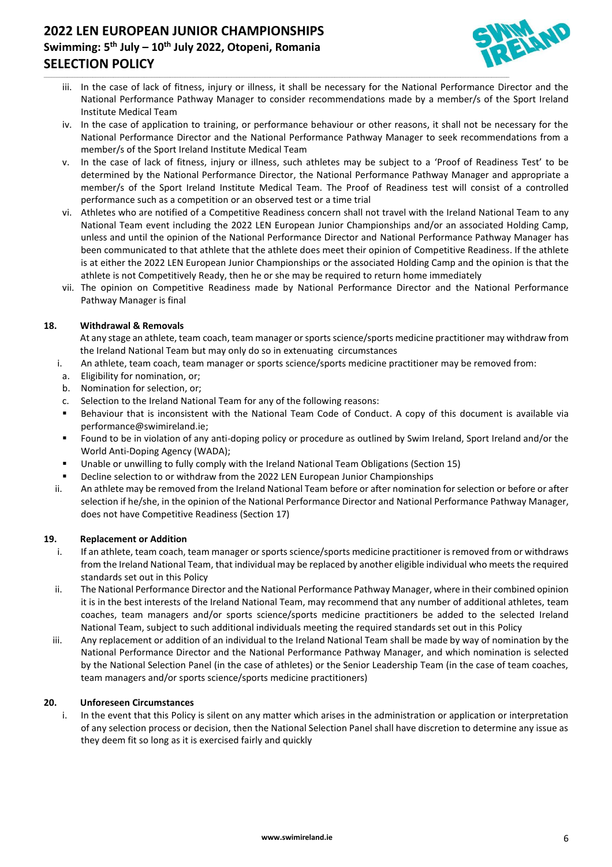# **2022 LEN EUROPEAN JUNIOR CHAMPIONSHIPS Swimming: 5 th July – 10 th July 2022, Otopeni, Romania SELECTION POLICY**



iii. In the case of lack of fitness, injury or illness, it shall be necessary for the National Performance Director and the National Performance Pathway Manager to consider recommendations made by a member/s of the Sport Ireland Institute Medical Team

\_\_\_\_\_\_\_\_\_\_\_\_\_\_\_\_\_\_\_\_\_\_\_\_\_\_\_\_\_\_\_\_\_\_\_\_\_\_\_\_\_\_\_\_\_\_\_\_\_\_\_\_\_\_\_\_\_\_\_\_\_\_\_\_\_\_\_\_\_\_\_\_\_\_\_\_\_\_\_\_\_\_\_\_\_\_\_\_\_\_\_\_\_\_\_\_\_\_\_\_\_\_\_\_\_\_\_\_\_\_\_\_\_\_\_\_\_\_\_\_\_\_\_\_\_\_\_\_\_\_\_\_\_\_\_\_\_\_\_\_\_\_\_\_\_\_\_\_\_\_\_\_\_\_\_\_\_\_\_\_\_\_\_\_\_\_\_\_\_\_\_\_\_\_\_\_\_\_\_\_\_

- iv. In the case of application to training, or performance behaviour or other reasons, it shall not be necessary for the National Performance Director and the National Performance Pathway Manager to seek recommendations from a member/s of the Sport Ireland Institute Medical Team
- v. In the case of lack of fitness, injury or illness, such athletes may be subject to a 'Proof of Readiness Test' to be determined by the National Performance Director, the National Performance Pathway Manager and appropriate a member/s of the Sport Ireland Institute Medical Team. The Proof of Readiness test will consist of a controlled performance such as a competition or an observed test or a time trial
- vi. Athletes who are notified of a Competitive Readiness concern shall not travel with the Ireland National Team to any National Team event including the 2022 LEN European Junior Championships and/or an associated Holding Camp, unless and until the opinion of the National Performance Director and National Performance Pathway Manager has been communicated to that athlete that the athlete does meet their opinion of Competitive Readiness. If the athlete is at either the 2022 LEN European Junior Championships or the associated Holding Camp and the opinion is that the athlete is not Competitively Ready, then he or she may be required to return home immediately
- vii. The opinion on Competitive Readiness made by National Performance Director and the National Performance Pathway Manager is final

# **18. Withdrawal & Removals**

At any stage an athlete, team coach, team manager or sports science/sports medicine practitioner may withdraw from the Ireland National Team but may only do so in extenuating circumstances

- i. An athlete, team coach, team manager or sports science/sports medicine practitioner may be removed from:
- a. Eligibility for nomination, or;
- b. Nomination for selection, or;
- c. Selection to the Ireland National Team for any of the following reasons:
- Behaviour that is inconsistent with the National Team Code of Conduct. A copy of this document is available via [performance@swimireland.ie;](mailto:performance@swimireland.ie)
- Found to be in violation of any anti-doping policy or procedure as outlined by Swim Ireland, Sport Ireland and/or the World Anti-Doping Agency (WADA);
- Unable or unwilling to fully comply with the Ireland National Team Obligations (Section 15)
- Decline selection to or withdraw from the 2022 LEN European Junior Championships
- ii. An athlete may be removed from the Ireland National Team before or after nomination for selection or before or after selection if he/she, in the opinion of the National Performance Director and National Performance Pathway Manager, does not have Competitive Readiness (Section 17)

#### **19. Replacement or Addition**

- i. If an athlete, team coach, team manager or sports science/sports medicine practitioner is removed from or withdraws from the Ireland National Team, that individual may be replaced by another eligible individual who meets the required standards set out in this Policy
- ii. The National Performance Director and the National Performance Pathway Manager, where in their combined opinion it is in the best interests of the Ireland National Team, may recommend that any number of additional athletes, team coaches, team managers and/or sports science/sports medicine practitioners be added to the selected Ireland National Team, subject to such additional individuals meeting the required standards set out in this Policy
- iii. Any replacement or addition of an individual to the Ireland National Team shall be made by way of nomination by the National Performance Director and the National Performance Pathway Manager, and which nomination is selected by the National Selection Panel (in the case of athletes) or the Senior Leadership Team (in the case of team coaches, team managers and/or sports science/sports medicine practitioners)

# **20. Unforeseen Circumstances**

i. In the event that this Policy is silent on any matter which arises in the administration or application or interpretation of any selection process or decision, then the National Selection Panel shall have discretion to determine any issue as they deem fit so long as it is exercised fairly and quickly